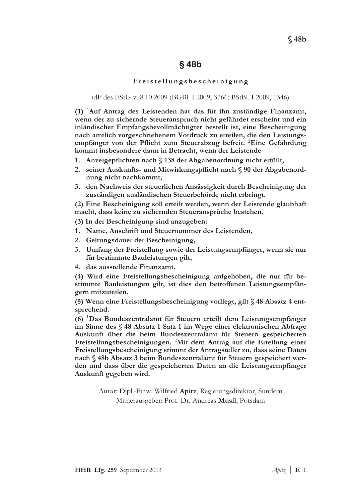# $§$  48b

### Freistellungsbescheinigung

### idF des EStG v. 8.10.2009 (BGBl. I 2009, 3366; BStBl. I 2009, 1346)

 $(1)$  <sup>1</sup>Auf Antrag des Leistenden hat das für ihn zuständige Finanzamt. wenn der zu sichernde Steueranspruch nicht gefährdet erscheint und ein inländischer Empfangsbevollmächtigter bestellt ist, eine Bescheinigung nach amtlich vorgeschriebenem Vordruck zu erteilen, die den Leistungsempfänger von der Pflicht zum Steuerabzug befreit. <sup>2</sup>Eine Gefährdung kommt insbesondere dann in Betracht, wenn der Leistende

- 1. Anzeigepflichten nach § 138 der Abgabenordnung nicht erfüllt,
- 2. seiner Auskunfts- und Mitwirkungspflicht nach § 90 der Abgabenordnung nicht nachkommt,
- 3. den Nachweis der steuerlichen Ansässigkeit durch Bescheinigung der zuständigen ausländischen Steuerbehörde nicht erbringt.

(2) Eine Bescheinigung soll erteilt werden, wenn der Leistende glaubhaft macht, dass keine zu sichernden Steueransprüche bestehen.

(3) In der Bescheinigung sind anzugeben:

- 1. Name, Anschrift und Steuernummer des Leistenden,
- 2. Geltungsdauer der Bescheinigung,
- 3. Umfang der Freistellung sowie der Leistungsempfänger, wenn sie nur für bestimmte Bauleistungen gilt,
- 4. das ausstellende Finanzamt.

(4) Wird eine Freistellungsbescheinigung aufgehoben, die nur für bestimmte Bauleistungen gilt, ist dies den betroffenen Leistungsempfängern mitzuteilen.

(5) Wenn eine Freistellungsbescheinigung vorliegt, gilt § 48 Absatz 4 entsprechend.

(6) <sup>1</sup>Das Bundeszentralamt für Steuern erteilt dem Leistungsempfänger im Sinne des § 48 Absatz 1 Satz 1 im Wege einer elektronischen Abfrage Auskunft über die beim Bundeszentralamt für Steuern gespeicherten Freistellungsbescheinigungen. <sup>2</sup>Mit dem Antrag auf die Erteilung einer Freistellungsbescheinigung stimmt der Antragsteller zu, dass seine Daten nach § 48b Absatz 3 beim Bundeszentralamt für Steuern gespeichert werden und dass über die gespeicherten Daten an die Leistungsempfänger Auskunft gegeben wird.

Autor: Dipl.-Finw. Wilfried Apitz, Regierungsdirektor, Sundern Mitherausgeber: Prof. Dr. Andreas Musil, Potsdam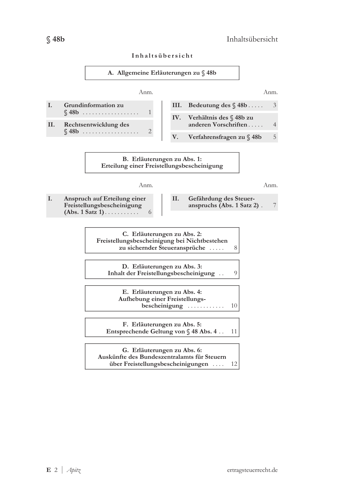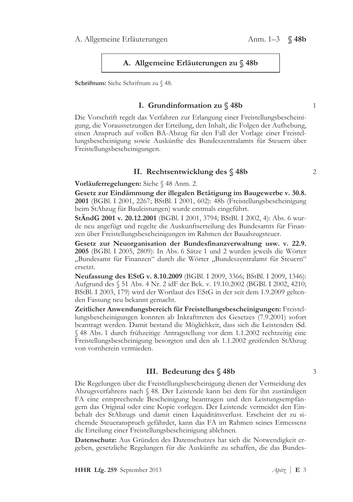### A. Allgemeine Erläuterungen zu § 48b

Schrifttum: Siehe Schrifttum zu § 48.

# I. Grundinformation zu  $\mod$  48b

Die Vorschrift regelt das Verfahren zur Erlangung einer Freistellungsbescheinigung, die Voraussetzungen der Erteilung, den Inhalt, die Folgen der Aufhebung, einen Anspruch auf vollen BA-Abzug für den Fall der Vorlage einer Freistellungsbescheinigung sowie Auskünfte des Bundeszentralamts für Steuern über Freistellungsbescheinigungen.

### II. Rechtsentwicklung des § 48b

Vorläuferregelungen: Siehe § 48 Anm. 2.

Gesetz zur Eindämmung der illegalen Betätigung im Baugewerbe v. 30.8. 2001 (BGBl. I 2001, 2267; BStBl. I 2001, 602): 48b (Freistellungsbescheinigung beim StAbzug für Bauleistungen) wurde erstmals eingeführt.

**StÂndG 2001 v. 20.12.2001** (BGBl. I 2001, 3794; BStBl. I 2002, 4): Abs. 6 wurde neu angefügt und regelte die Auskunftserteilung des Bundesamts für Finanzen über Freistellungsbescheinigungen im Rahmen der Bauabzugsteuer.

Gesetz zur Neuorganisation der Bundesfinanzverwaltung usw. v. 22.9. **2005** (BGBl. I 2005, 2809): In Abs. 6 Sätze 1 und 2 wurden jeweils die Wörter "Bundesamt für Finanzen" durch die Wörter "Bundeszentralamt für Steuern" ersetzt.

**Neufassung des EStG v. 8.10.2009** (BGBl. I 2009, 3366; BStBl. I 2009, 1346): Aufgrund des § 51 Abs. 4 Nr. 2 idF der Bek. v. 19.10.2002 (BGBl. I 2002, 4210; BStBl. I 2003, 179) wird der Wortlaut des EStG in der seit dem 1.9.2009 geltenden Fassung neu bekannt gemacht.

Zeitlicher Anwendungsbereich für Freistellungsbescheinigungen: Freistellungsbescheinigungen konnten ab Inkrafttreten des Gesetzes (7.9.2001) sofort beantragt werden. Damit bestand die Möglichkeit, dass sich die Leistenden iSd.  $\$ 48 Abs. 1 durch frühzeitige Antragstellung vor dem 1.1.2002 rechtzeitig eine Freistellungsbescheinigung besorgten und den ab 1.1.2002 greifenden StAbzug von vornherein vermieden.

### III. Bedeutung des § 48b

Die Regelungen über die Freistellungsbescheinigung dienen der Vermeidung des Abzugsverfahrens nach § 48. Der Leistende kann bei dem für ihn zuständigen FA eine entsprechende Bescheinigung beantragen und den Leistungsempfängern das Original oder eine Kopie vorlegen. Der Leistende vermeidet den Einbehalt des StAbzugs und damit einen Liquiditätsverlust. Erscheint der zu sichernde Steueranspruch gefährdet, kann das FA im Rahmen seines Ermessens die Erteilung einer Freistellungsbescheinigung ablehnen.

Datenschutz: Aus Gründen des Datenschutzes hat sich die Notwendigkeit ergeben, gesetzliche Regelungen für die Auskünfte zu schaffen, die das Bundes-

 $\mathbf{1}$ 

 $\overline{2}$ 

 $\overline{\mathcal{E}}$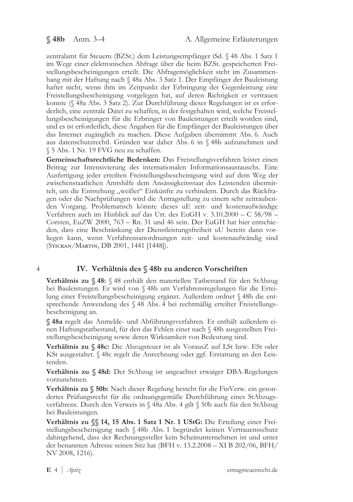zentralamt für Steuern (BZSt.) dem Leistungsempfänger iSd. § 48 Abs. 1 Satz 1 im Wege einer elektronischen Abfrage über die beim BZSt. gespeicherten Freistellungsbescheinigungen erteilt. Die Abfragemöglichkeit steht im Zusammenhang mit der Haftung nach  $\S$  48a Abs. 3 Satz 1. Der Empfänger der Bauleistung haftet nicht, wenn ihm im Zeitpunkt der Erbringung der Gegenleistung eine Freistellungsbescheinigung vorgelegen hat, auf deren Richtigkeit er vertrauen konnte (§ 48a Abs. 3 Satz 2). Zur Durchführung dieser Regelungen ist es erforderlich, eine zentrale Datei zu schaffen, in der festgehalten wird, welche Freistellungsbescheinigungen für die Erbringer von Bauleistungen erteilt worden sind, und es ist erforderlich, diese Angaben für die Empfänger der Bauleistungen über das Internet zugänglich zu machen. Diese Aufgaben übernimmt Abs. 6. Auch aus datenschutzrechtl. Gründen war daher Abs. 6 in § 48b aufzunehmen und  $\S$  5 Abs. 1 Nr. 19 FVG neu zu schaffen.

Gemeinschaftsrechtliche Bedenken: Das Freistellungsverfahren leistet einen Beitrag zur Intensivierung des internationalen Informationsaustauschs. Eine Ausfertigung jeder erteilten Freistellungsbescheinigung wird auf dem Weg der zwischenstaatlichen Amtshilfe dem Ansässigkeitsstaat des Leistenden übermittelt, um die Entstehung "weißer" Einkünfte zu verhindern. Durch das Rückfragen oder die Nachprüfungen wird die Antragstellung zu einem sehr zeitraubenden Vorgang. Problematisch könnte dieses uE zeit- und kostenaufwändige Verfahren auch im Hinblick auf das Urt. des EuGH v.  $3.10,2000 - C$  58/98 -Corsten, EuZW 2000,  $763 - Rn$ . 31 und 46 sein. Der EuGH hat hier entschieden, dass eine Beschränkung der Dienstleistungsfreiheit uU bereits dann vorliegen kann, wenn Verfahrensanordnungen zeit- und kostenaufwändig sind (STICKAN/MARTIN, DB 2001, 1441 [1448]).

4

# IV. Verhältnis des § 48b zu anderen Vorschriften

Verhältnis zu § 48: § 48 enthält den materiellen Tatbestand für den StAbzug bei Bauleistungen. Er wird von § 48b um Verfahrensregelungen für die Erteilung einer Freistellungsbescheinigung ergänzt. Außerdem ordnet § 48b die entsprechende Anwendung des § 48 Abs. 4 bei rechtmäßig erteilter Freistellungsbescheinigung an.

§ 48a regelt das Anmelde- und Abführungsverfahren. Er enthält außerdem einen Haftungstatbestand, für den das Fehlen einer nach  $\%$  48b ausgestellten Freistellungsbescheinigung sowie deren Wirksamkeit von Bedeutung sind.

Verhältnis zu § 48c: Die Abzugsteuer ist als VorausZ auf LSt bzw. ESt oder KSt ausgestaltet. § 48c regelt die Anrechnung oder ggf. Erstattung an den Leistenden.

Verhältnis zu § 48d: Der StAbzug ist ungeachtet etwaiger DBA-Regelungen vorzunehmen.

**Verhältnis zu**  $\%$  **50b:** Nach dieser Regelung besteht für die FinVerw. ein gesondertes Prüfungsrecht für die ordnungsgemäße Durchführung eines StAbzugsverfahrens. Durch den Verweis in § 48a Abs. 4 gilt § 50b auch für den StAbzug bei Bauleistungen.

**Verhältnis zu**  $\$  **14, 15 Abs. 1 Satz 1 Nr. 1 UStG:** Die Erteilung einer Freistellungsbescheinigung nach § 48b Abs. 1 begründet keinen Vertrauensschutz dahingehend, dass der Rechnungssteller kein Scheinunternehmen ist und unter der benannten Adresse seinen Sitz hat (BFH v. 13.2.2008 – XI B 202/06, BFH/ NV 2008, 1216).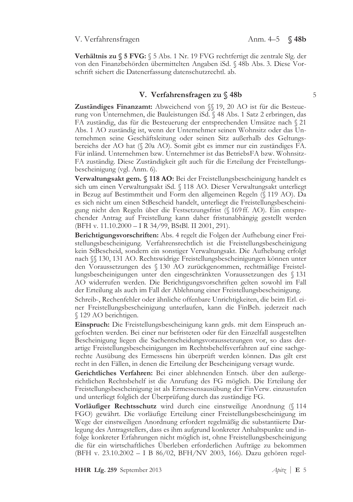Verhältnis zu § 5 FVG: § 5 Abs. 1 Nr. 19 FVG rechtfertigt die zentrale Slg. der von den Finanzbehörden übermittelten Angaben iSd. § 48b Abs. 3. Diese Vorschrift sichert die Datenerfassung datenschutzrechtl. ab.

### V. Verfahrensfragen zu § 48b

Zuständiges Finanzamt: Abweichend von §§ 19, 20 AO ist für die Besteuerung von Unternehmen, die Bauleistungen iSd. § 48 Abs. 1 Satz 2 erbringen, das FA zuständig, das für die Besteuerung der entsprechenden Umsätze nach § 21 Abs. 1 AO zuständig ist, wenn der Unternehmer seinen Wohnsitz oder das Unternehmen seine Geschäftsleitung oder seinen Sitz außerhalb des Geltungsbereichs der AO hat (§ 20a AO). Somit gibt es immer nur ein zuständiges FA. Für inländ. Unternehmen bzw. Unternehmer ist das BetriebsFA bzw. Wohnsitz-FA zuständig. Diese Zuständigkeit gilt auch für die Erteilung der Freistellungsbescheinigung (vgl. Anm. 6).

Verwaltungsakt gem. § 118 AO: Bei der Freistellungsbescheinigung handelt es sich um einen Verwaltungsakt iSd. § 118 AO. Dieser Verwaltungsakt unterliegt in Bezug auf Bestimmtheit und Form den allgemeinen Regeln (§ 119 AO). Da es sich nicht um einen StBescheid handelt, unterliegt die Freistellungsbescheinigung nicht den Regeln über die Festsetzungsfrist (§ 169 ff. AO). Ein entsprechender Antrag auf Freistellung kann daher fristunabhängig gestellt werden (BFH v. 11.10.2000 - I R 34/99, BStBl. II 2001, 291).

Berichtigungsvorschriften: Abs. 4 regelt die Folgen der Aufhebung einer Freistellungsbescheinigung. Verfahrensrechtlich ist die Freistellungsbescheinigung kein StBescheid, sondern ein sonstiger Verwaltungsakt. Die Aufhebung erfolgt nach  $\S$  130, 131 AO. Rechtswidrige Freistellungsbescheinigungen können unter den Voraussetzungen des § 130 AO zurückgenommen, rechtmäßige Freistellungsbescheinigungen unter den eingeschränkten Voraussetzungen des § 131 AO widerrufen werden. Die Berichtigungsvorschriften gelten sowohl im Fall der Erteilung als auch im Fall der Ablehnung einer Freistellungsbescheinigung.

Schreib-, Rechenfehler oder ähnliche offenbare Unrichtigkeiten, die beim Erl. einer Freistellungsbescheinigung unterlaufen, kann die FinBeh. jederzeit nach § 129 AO berichtigen.

Einspruch: Die Freistellungsbescheinigung kann grds. mit dem Einspruch angefochten werden. Bei einer nur befristeten oder für den Einzelfall ausgestellten Bescheinigung liegen die Sachentscheidungsvoraussetzungen vor, so dass derartige Freistellungsbescheinigungen im Rechtsbehelfsverfahren auf eine sachgerechte Ausübung des Ermessens hin überprüft werden können. Das gilt erst recht in den Fällen, in denen die Erteilung der Bescheinigung versagt wurde.

Gerichtliches Verfahren: Bei einer ablehnenden Entsch. über den außergerichtlichen Rechtsbehelf ist die Anrufung des FG möglich. Die Erteilung der Freistellungsbescheinigung ist als Ermessensausübung der FinVerw. einzustufen und unterliegt folglich der Überprüfung durch das zuständige FG.

Vorläufiger Rechtsschutz wird durch eine einstweilige Anordnung (§ 114 FGO) gewährt. Die vorläufige Erteilung einer Freistellungsbescheinigung im Wege der einstweiligen Anordnung erfordert regelmäßig die substantiierte Darlegung des Antragstellers, dass es ihm aufgrund konkreter Anhaltspunkte und infolge konkreter Erfahrungen nicht möglich ist, ohne Freistellungsbescheinigung die für ein wirtschaftliches Überleben erforderlichen Aufträge zu bekommen (BFH v. 23.10.2002 – I B 86/02, BFH/NV 2003, 166). Dazu gehören regel-

HHR Lfg. 259 September 2013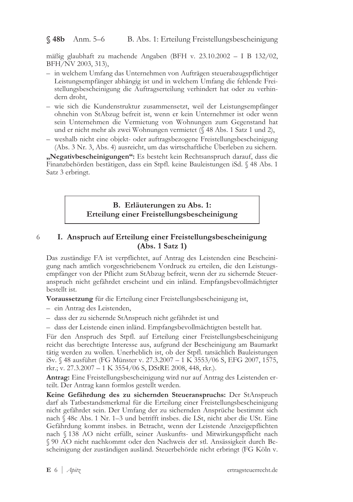### $$48b$  Anm. 5-6 B. Abs. 1: Erteilung Freistellungsbescheinigung

mäßig glaubhaft zu machende Angaben (BFH v. 23.10.2002 – I B 132/02, BFH/NV 2003, 313),

- in welchem Umfang das Unternehmen von Aufträgen steuerabzugspflichtiger Leistungsempfänger abhängig ist und in welchem Umfang die fehlende Freistellungsbescheinigung die Auftragserteilung verhindert hat oder zu verhindern droht,
- wie sich die Kundenstruktur zusammensetzt, weil der Leistungsempfänger ohnehin von StAbzug befreit ist, wenn er kein Unternehmer ist oder wenn sein Unternehmen die Vermietung von Wohnungen zum Gegenstand hat und er nicht mehr als zwei Wohnungen vermietet (§ 48 Abs. 1 Satz 1 und 2),
- weshalb nicht eine objekt- oder auftragsbezogene Freistellungsbescheinigung (Abs. 3 Nr. 3, Abs. 4) ausreicht, um das wirtschaftliche Überleben zu sichern.

"Negativbescheinigungen": Es besteht kein Rechtsanspruch darauf, dass die Finanzbehörden bestätigen, dass ein Stpfl. keine Bauleistungen iSd. § 48 Abs. 1 Satz 3 erbringt.

## B. Erläuterungen zu Abs. 1: Erteilung einer Freistellungsbescheinigung

### I. Anspruch auf Erteilung einer Freistellungsbescheinigung 6  $(Abs. 1 Satz 1)$

Das zuständige FA ist verpflichtet, auf Antrag des Leistenden eine Bescheinigung nach amtlich vorgeschriebenem Vordruck zu erteilen, die den Leistungsempfänger von der Pflicht zum StAbzug befreit, wenn der zu sichernde Steueranspruch nicht gefährdet erscheint und ein inländ. Empfangsbevollmächtigter bestellt ist.

Voraussetzung für die Erteilung einer Freistellungsbescheinigung ist,

- ein Antrag des Leistenden,

- dass der zu sichernde StAnspruch nicht gefährdet ist und

- dass der Leistende einen inländ. Empfangsbevollmächtigten bestellt hat.

Für den Anspruch des Stpfl. auf Erteilung einer Freistellungsbescheinigung reicht das berechtigte Interesse aus, aufgrund der Bescheinigung am Baumarkt tätig werden zu wollen. Unerheblich ist, ob der Stpfl. tatsächlich Bauleistungen iSv. § 48 ausführt (FG Münster v. 27.3.2007 - 1 K 3553/06 S, EFG 2007, 1575, rkr.; v. 27.3.2007 - 1 K 3554/06 S, DStRE 2008, 448, rkr.).

Antrag: Eine Freistellungsbescheinigung wird nur auf Antrag des Leistenden erteilt. Der Antrag kann formlos gestellt werden.

Keine Gefährdung des zu sichernden Steueranspruchs: Der StAnspruch darf als Tatbestandsmerkmal für die Erteilung einer Freistellungsbescheinigung nicht gefährdet sein. Der Umfang der zu sichernden Ansprüche bestimmt sich nach § 48c Abs. 1 Nr. 1–3 und betrifft insbes. die LSt, nicht aber die USt. Eine Gefährdung kommt insbes. in Betracht, wenn der Leistende Anzeigepflichten nach § 138 AO nicht erfüllt, seiner Auskunfts- und Mitwirkungspflicht nach § 90 AO nicht nachkommt oder den Nachweis der stl. Ansässigkeit durch Bescheinigung der zuständigen ausländ. Steuerbehörde nicht erbringt (FG Köln v.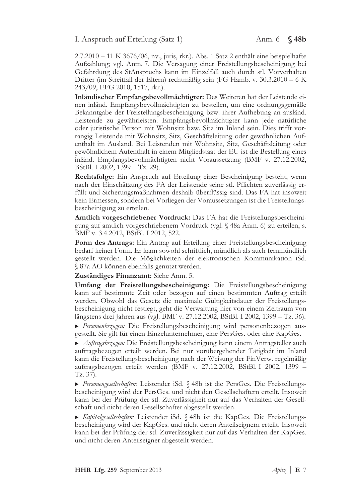### I. Anspruch auf Erteilung (Satz 1)

 $2.7.2010 - 11$  K  $3676/06$ , nv., juris, rkr.). Abs. 1 Satz 2 enthält eine beispielhafte Aufzählung; vgl. Anm. 7. Die Versagung einer Freistellungsbescheinigung bei Gefährdung des StAnspruchs kann im Einzelfall auch durch stl. Vorverhalten Dritter (im Streitfall der Eltern) rechtmäßig sein (FG Hamb. v. 30.3.2010 – 6 K 243/09, EFG 2010, 1517, rkr.).

Inländischer Empfangsbevollmächtigter: Des Weiteren hat der Leistende einen inländ. Empfangsbevollmächtigten zu bestellen, um eine ordnungsgemäße Bekanntgabe der Freistellungsbescheinigung bzw. ihrer Aufhebung an ausländ. Leistende zu gewährleisten. Empfangsbevollmächtigter kann jede natürliche oder juristische Person mit Wohnsitz bzw. Sitz im Inland sein. Dies trifft vorrangig Leistende mit Wohnsitz, Sitz, Geschäftsleitung oder gewöhnlichen Aufenthalt im Ausland. Bei Leistenden mit Wohnsitz, Sitz, Geschäftsleitung oder gewöhnlichem Aufenthalt in einem Mitgliedstaat der EU ist die Bestellung eines inländ. Empfangsbevollmächtigten nicht Voraussetzung (BMF v. 27.12.2002, BStBl. I 2002,  $1399 - Tz$ . 29).

Rechtsfolge: Ein Anspruch auf Erteilung einer Bescheinigung besteht, wenn nach der Einschätzung des FA der Leistende seine stl. Pflichten zuverlässig erfüllt und Sicherungsmaßnahmen deshalb überflüssig sind. Das FA hat insoweit kein Ermessen, sondern bei Vorliegen der Voraussetzungen ist die Freistellungsbescheinigung zu erteilen.

Amtlich vorgeschriebener Vordruck: Das FA hat die Freistellungsbescheinigung auf amtlich vorgeschriebenem Vordruck (vgl. § 48a Anm. 6) zu erteilen, s. BMF v. 3.4.2012, BStBl. I 2012, 522.

Form des Antrags: Ein Antrag auf Erteilung einer Freistellungsbescheinigung bedarf keiner Form. Er kann sowohl schriftlich, mündlich als auch fernmündlich gestellt werden. Die Möglichkeiten der elektronischen Kommunikation iSd. § 87a AO können ebenfalls genutzt werden.

Zuständiges Finanzamt: Siehe Anm. 5.

Umfang der Freistellungsbescheinigung: Die Freistellungsbescheinigung kann auf bestimmte Zeit oder bezogen auf einen bestimmten Auftrag erteilt werden. Obwohl das Gesetz die maximale Gültigkeitsdauer der Freistellungsbescheinigung nicht festlegt, geht die Verwaltung hier von einem Zeitraum von längstens drei Jahren aus (vgl. BMF v. 27.12.2002, BStBl. I 2002, 1399 – Tz. 36).

Personenbezogen: Die Freistellungsbescheinigung wird personenbezogen ausgestellt. Sie gilt für einen Einzelunternehmer, eine PersGes. oder eine KapGes.

Auftragsbezogen: Die Freistellungsbescheinigung kann einem Antragsteller auch auftragsbezogen erteilt werden. Bei nur vorübergehender Tätigkeit im Inland kann die Freistellungsbescheinigung nach der Weisung der FinVerw. regelmäßig auftragsbezogen erteilt werden (BMF v. 27.12.2002, BStBl. I 2002, 1399 -Tz. 37).

Personengesellschaften: Leistender iSd. § 48b ist die PersGes. Die Freistellungsbescheinigung wird der PersGes. und nicht den Gesellschaftern erteilt. Insoweit kann bei der Prüfung der stl. Zuverlässigkeit nur auf das Verhalten der Gesellschaft und nicht deren Gesellschafter abgestellt werden.

► Kapitalgesellschaften: Leistender iSd. § 48b ist die KapGes. Die Freistellungsbescheinigung wird der KapGes. und nicht deren Anteilseignern erteilt. Insoweit kann bei der Prüfung der stl. Zuverlässigkeit nur auf das Verhalten der KapGes. und nicht deren Anteilseigner abgestellt werden.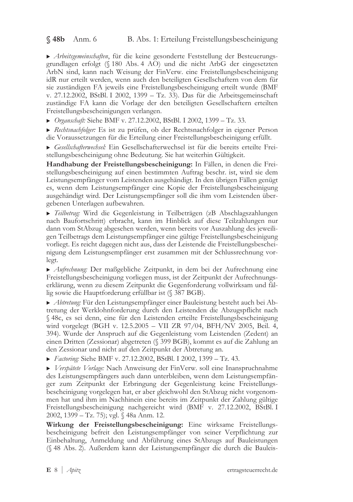$\$  48b Anm. 6 B. Abs. 1: Erteilung Freistellungsbescheinigung

▶ Arbeitsgemeinschaften, für die keine gesonderte Feststellung der Besteuerungsgrundlagen erfolgt (§ 180 Abs. 4 AO) und die nicht ArbG der eingesetzten ArbN sind, kann nach Weisung der FinVerw. eine Freistellungsbescheinigung idR nur erteilt werden, wenn auch den beteiligten Gesellschaftern von dem für sie zuständigen FA jeweils eine Freistellungsbescheinigung erteilt wurde (BMF v. 27.12.2002, BStBl. I 2002, 1399 – Tz. 33). Das für die Arbeitsgemeinschaft zuständige FA kann die Vorlage der den beteiligten Gesellschaftern erteilten Freistellungsbescheinigungen verlangen.

▶ *Organschaft:* Siehe BMF v. 27.12.2002, BStBl. I 2002, 1399 – Tz. 33.

Rechtsnachfolger: Es ist zu prüfen, ob der Rechtsnachfolger in eigener Person die Voraussetzungen für die Erteilung einer Freistellungsbescheinigung erfüllt.

Gesellschafterwechsel: Ein Gesellschafterwechsel ist für die bereits erteilte Freistellungsbescheinigung ohne Bedeutung. Sie hat weiterhin Gültigkeit.

Handhabung der Freistellungsbescheinigung: In Fällen, in denen die Freistellungsbescheinigung auf einen bestimmten Auftrag beschr. ist, wird sie dem Leistungsempfänger vom Leistenden ausgehändigt. In den übrigen Fällen genügt es, wenn dem Leistungsempfänger eine Kopie der Freistellungsbescheinigung ausgehändigt wird. Der Leistungsempfänger soll die ihm vom Leistenden übergebenen Unterlagen aufbewahren.

▶ Teilbetrag: Wird die Gegenleistung in Teilbeträgen (zB Abschlagszahlungen nach Baufortschritt) erbracht, kann im Hinblick auf diese Teilzahlungen nur dann vom StAbzug abgesehen werden, wenn bereits vor Auszahlung des jeweiligen Teilbetrags dem Leistungsempfänger eine gültige Freistellungsbescheinigung vorliegt. Es reicht dagegen nicht aus, dass der Leistende die Freistellungsbescheinigung dem Leistungsempfänger erst zusammen mit der Schlussrechnung vorlegt.

▶ Aufrechnung: Der maßgebliche Zeitpunkt, in dem bei der Aufrechnung eine Freistellungsbescheinigung vorliegen muss, ist der Zeitpunkt der Aufrechnungserklärung, wenn zu diesem Zeitpunkt die Gegenforderung vollwirksam und fällig sowie die Hauptforderung erfüllbar ist (§ 387 BGB).

Abtretung: Für den Leistungsempfänger einer Bauleistung besteht auch bei Abtretung der Werklohnforderung durch den Leistenden die Abzugspflicht nach § 48c, es sei denn, eine für den Leistenden erteilte Freistellungsbescheinigung wird vorgelegt (BGH v. 12.5.2005 – VII ZR 97/04, BFH/NV 2005, Beil. 4, 394). Wurde der Anspruch auf die Gegenleistung vom Leistenden (Zedent) an einen Dritten (Zessionar) abgetreten (§ 399 BGB), kommt es auf die Zahlung an den Zessionar und nicht auf den Zeitpunkt der Abtretung an.

*Factoring*: Siehe BMF v. 27.12.2002, BStBl. I 2002, 1399 - Tz. 43.

▶ Verspätete Vorlage: Nach Anweisung der FinVerw. soll eine Inanspruchnahme des Leistungsempfängers auch dann unterbleiben, wenn dem Leistungsempfänger zum Zeitpunkt der Erbringung der Gegenleistung keine Freistellungsbescheinigung vorgelegen hat, er aber gleichwohl den StAbzug nicht vorgenommen hat und ihm im Nachhinein eine bereits im Zeitpunkt der Zahlung gültige Freistellungsbescheinigung nachgereicht wird (BMF v. 27.12.2002, BStBl. I  $2002$ , 1399 - Tz. 75); vgl. § 48a Anm. 12.

Wirkung der Freistellungsbescheinigung: Eine wirksame Freistellungsbescheinigung befreit den Leistungsempfänger von seiner Verpflichtung zur Einbehaltung, Anmeldung und Abführung eines StAbzugs auf Bauleistungen (§ 48 Abs. 2). Außerdem kann der Leistungsempfänger die durch die Bauleis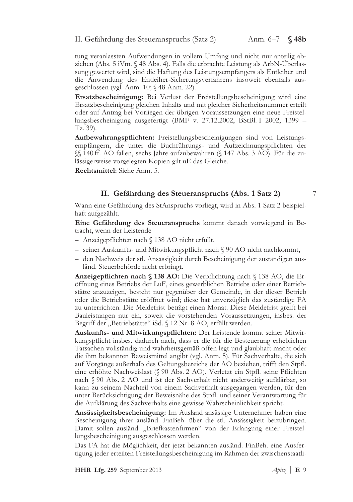tung veranlassten Aufwendungen in vollem Umfang und nicht nur anteilig abziehen (Abs. 5 iVm. § 48 Abs. 4). Falls die erbrachte Leistung als ArbN-Überlassung gewertet wird, sind die Haftung des Leistungsempfängers als Entleiher und die Anwendung des Entleiher-Sicherungsverfahrens insoweit ebenfalls ausgeschlossen (vgl. Anm. 10; § 48 Anm. 22).

Ersatzbescheinigung: Bei Verlust der Freistellungsbescheinigung wird eine Ersatzbescheinigung gleichen Inhalts und mit gleicher Sicherheitsnummer erteilt oder auf Antrag bei Vorliegen der übrigen Voraussetzungen eine neue Freistellungsbescheinigung ausgefertigt (BMF v. 27.12.2002, BStBl. I 2002, 1399 –  $Tz. 39$ ).

Aufbewahrungspflichten: Freistellungsbescheinigungen sind von Leistungsempfängern, die unter die Buchführungs- und Aufzeichnungspflichten der  $\%$  140 ff. AO fallen, sechs Jahre aufzubewahren  $(\$ 147 \text{ Abs. } 3 \text{ AO})$ . Für die zulässigerweise vorgelegten Kopien gilt uE das Gleiche.

Rechtsmittel: Siehe Anm. 5.

## II. Gefährdung des Steueranspruchs (Abs. 1 Satz 2)

Wann eine Gefährdung des StAnspruchs vorliegt, wird in Abs. 1 Satz 2 beispielhaft aufgezählt.

Eine Gefährdung des Steueranspruchs kommt danach vorwiegend in Betracht, wenn der Leistende

- Anzeigepflichten nach § 138 AO nicht erfüllt,
- seiner Auskunfts- und Mitwirkungspflicht nach § 90 AO nicht nachkommt,
- den Nachweis der stl. Ansässigkeit durch Bescheinigung der zuständigen ausländ. Steuerbehörde nicht erbringt.

Anzeigepflichten nach § 138 AO: Die Verpflichtung nach § 138 AO, die Eröffnung eines Betriebs der LuF, eines gewerblichen Betriebs oder einer Betriebstätte anzuzeigen, besteht nur gegenüber der Gemeinde, in der dieser Betrieb oder die Betriebstätte eröffnet wird; diese hat unverzüglich das zuständige FA zu unterrichten. Die Meldefrist beträgt einen Monat. Diese Meldefrist greift bei Bauleistungen nur ein, soweit die vorstehenden Voraussetzungen, insbes. der Begriff der "Betriebstätte" iSd. § 12 Nr. 8 AO, erfüllt werden.

Auskunfts- und Mitwirkungspflichten: Der Leistende kommt seiner Mitwirkungspflicht insbes. dadurch nach, dass er die für die Besteuerung erheblichen Tatsachen vollständig und wahrheitsgemäß offen legt und glaubhaft macht oder die ihm bekannten Beweismittel angibt (vgl. Anm. 5). Für Sachverhalte, die sich auf Vorgänge außerhalb des Geltungsbereichs der AO beziehen, trifft den Stpfl. eine erhöhte Nachweislast (§ 90 Abs. 2 AO). Verletzt ein Stpfl. seine Pflichten nach  $\S$  90 Abs. 2 AO und ist der Sachverhalt nicht anderweitig aufklärbar, so kann zu seinem Nachteil von einem Sachverhalt ausgegangen werden, für den unter Berücksichtigung der Beweisnähe des Stpfl. und seiner Verantwortung für die Aufklärung des Sachverhalts eine gewisse Wahrscheinlichkeit spricht.

Ansässigkeitsbescheinigung: Im Ausland ansässige Unternehmer haben eine Bescheinigung ihrer ausländ. FinBeh. über die stl. Ansässigkeit beizubringen. Damit sollen ausländ. "Briefkastenfirmen" von der Erlangung einer Freistellungsbescheinigung ausgeschlossen werden.

Das FA hat die Möglichkeit, der jetzt bekannten ausländ. FinBeh. eine Ausfertigung jeder erteilten Freistellungsbescheinigung im Rahmen der zwischenstaatli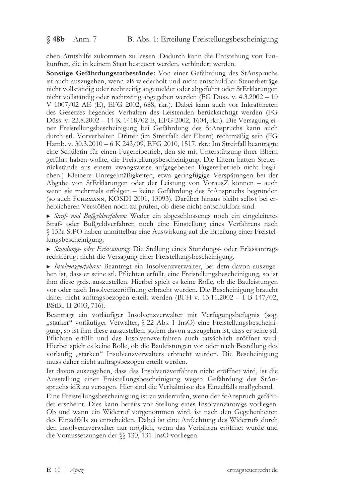$$48b$  Anm. 7

chen Amtshilfe zukommen zu lassen. Dadurch kann die Entstehung von Einkünften, die in keinem Staat besteuert werden, verhindert werden.

Sonstige Gefährdungstatbestände: Von einer Gefährdung des StAnspruchs ist auch auszugehen, wenn zB wiederholt und nicht entschuldbar Steuerbeträge nicht vollständig oder rechtzeitig angemeldet oder abgeführt oder StErklärungen nicht vollständig oder rechtzeitig abgegeben werden (FG Düss. v. 4.3.2002 – 10 V 1007/02 AE (E), EFG 2002, 688, rkr.). Dabei kann auch vor Inkrafttreten des Gesetzes liegendes Verhalten des Leistenden berücksichtigt werden (FG Düss. v. 22.8.2002 - 14 K 1418/02 E, EFG 2002, 1604, rkr.). Die Versagung einer Freistellungsbescheinigung bei Gefährdung des StAnspruchs kann auch durch stl. Vorverhalten Dritter (im Streitfall: der Eltern) rechtmäßig sein (FG Hamb. v. 30.3.2010 - 6 K 243/09, EFG 2010, 1517, rkr.: Im Streitfall beantragte eine Schülerin für einen Fugereibetrieb, den sie mit Unterstützung ihrer Eltern geführt haben wollte, die Freistellungsbescheinigung. Die Eltern hatten Steuerrückstände aus einem zwangsweise aufgegebenen Fugereibetrieb nicht beglichen.) Kleinere Unregelmäßigkeiten, etwa geringfügige Verspätungen bei der Abgabe von StErklärungen oder der Leistung von VorausZ können - auch wenn sie mehrmals erfolgen - keine Gefährdung des StAnspruchs begründen (so auch FUHRMANN, KOSDI 2001, 13093). Darüber hinaus bleibt selbst bei erheblicheren Verstößen noch zu prüfen, ob diese nicht entschuldbar sind.

Straf- und Bußgeldverfahren: Weder ein abgeschlossenes noch ein eingeleitetes Straf- oder Bußgeldverfahren noch eine Einstellung eines Verfahrens nach § 153a StPO haben unmittelbar eine Auswirkung auf die Erteilung einer Freistellungsbescheinigung.

Stundungs- oder Erlassantrag: Die Stellung eines Stundungs- oder Erlassantrags rechtfertigt nicht die Versagung einer Freistellungsbescheinigung.

Insolvenzverfahren: Beantragt ein Insolvenzverwalter, bei dem davon auszugehen ist, dass er seine stl. Pflichten erfüllt, eine Freistellungsbescheinigung, so ist ihm diese grds. auszustellen. Hierbei spielt es keine Rolle, ob die Bauleistungen vor oder nach Insolvenzeröffnung erbracht wurden. Die Bescheinigung braucht daher nicht auftragsbezogen erteilt werden (BFH v. 13.11.2002 – I B 147/02, BStBl. II 2003, 716).

Beantragt ein vorläufiger Insolvenzverwalter mit Verfügungsbefugnis (sog. "starker" vorläufiger Verwalter, § 22 Abs. 1 InsO) eine Freistellungsbescheinigung, so ist ihm diese auszustellen, sofern davon auszugehen ist, dass er seine stl. Pflichten erfüllt und das Insolvenzverfahren auch tatsächlich eröffnet wird. Hierbei spielt es keine Rolle, ob die Bauleistungen vor oder nach Bestellung des vorläufig "starken" Insolvenzverwalters erbracht wurden. Die Bescheinigung muss daher nicht auftragsbezogen erteilt werden.

Ist davon auszugehen, dass das Insolvenzverfahren nicht eröffnet wird, ist die Ausstellung einer Freistellungsbescheinigung wegen Gefährdung des StAnspruchs idR zu versagen. Hier sind die Verhältnisse des Einzelfalls maßgebend.

Eine Freistellungsbescheinigung ist zu widerrufen, wenn der StAnspruch gefährdet erscheint. Dies kann bereits vor Stellung eines Insolvenzantrags vorliegen. Ob und wann ein Widerruf vorgenommen wird, ist nach den Gegebenheiten des Einzelfalls zu entscheiden. Dabei ist eine Anfechtung des Widerrufs durch den Insolvenzverwalter nur möglich, wenn das Verfahren eröffnet wurde und die Voraussetzungen der §§ 130, 131 InsO vorliegen.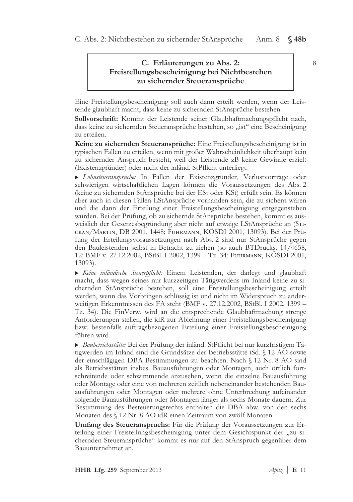# C. Erläuterungen zu Abs. 2: Freistellungsbescheinigung bei Nichtbestehen zu sichernder Steueransprüche

Eine Freistellungsbescheinigung soll auch dann erteilt werden, wenn der Leistende glaubhaft macht, dass keine zu sichernden StAnsprüche bestehen.

Sollvorschrift: Kommt der Leistende seiner Glaubhaftmachungspflicht nach. dass keine zu sichernden Steueransprüche bestehen, so "ist" eine Bescheinigung zu erteilen.

Keine zu sichernden Steueransprüche: Eine Freistellungsbescheinigung ist in typischen Fällen zu erteilen, wenn mit großer Wahrscheinlichkeit überhaupt kein zu sichernder Anspruch besteht, weil der Leistende zB keine Gewinne erzielt (Existenzgründer) oder nicht der inländ. StPflicht unterliegt.

> Lohnsteueransprüche: In Fällen der Existenzgründer, Verlustvorträge oder schwierigen wirtschaftlichen Lagen können die Voraussetzungen des Abs. 2 (keine zu sichernden StAnsprüche bei der ESt oder KSt) erfüllt sein. Es können aber auch in diesen Fällen LStAnsprüche vorhanden sein, die zu sichern wären und die dann der Erteilung einer Freistellungsbescheinigung entgegenstehen würden. Bei der Prüfung, ob zu sichernde StAnsprüche bestehen, kommt es ausweislich der Gesetzesbegründung aber nicht auf etwaige LStAnsprüche an (STIскан/Маrтін, DB 2001, 1448; Fuhrmann, KÖSDI 2001, 13093). Bei der Prüfung der Erteilungsvoraussetzungen nach Abs. 2 sind nur StAnsprüche gegen den Bauleistenden selbst in Betracht zu ziehen (so auch BTDrucks. 14/4658, 12; BMF v. 27.12.2002, BStBl. I 2002, 1399 – Tz. 34; FUHRMANN, KÖSDI 2001,  $13093$ ).

Eine inländische Steuerpflicht: Einem Leistenden, der darlegt und glaubhaft macht, dass wegen seines nur kurzzeitigen Tätigwerdens im Inland keine zu sichernden StAnsprüche bestehen, soll eine Freistellungsbescheinigung erteilt werden, wenn das Vorbringen schlüssig ist und nicht im Widerspruch zu anderweitigen Erkenntnissen des FA steht (BMF v. 27.12.2002, BStBl. I 2002, 1399 – Tz. 34). Die FinVerw. wird an die entsprechende Glaubhaftmachung strenge Anforderungen stellen, die idR zur Ablehnung einer Freistellungsbescheinigung bzw. bestenfalls auftragsbezogenen Erteilung einer Freistellungsbescheinigung führen wird.

Baubetriebsstätte: Bei der Prüfung der inländ. StPflicht bei nur kurzfristigem Tätigwerden im Inland sind die Grundsätze der Betriebsstätte iSd. § 12 AO sowie der einschlägigen DBA-Bestimmungen zu beachten. Nach § 12 Nr. 8 AO sind als Betriebsstätten insbes. Bauausführungen oder Montagen, auch örtlich fortschreitende oder schwimmende anzusehen, wenn die einzelne Bauausführung oder Montage oder eine von mehreren zeitlich nebeneinander bestehenden Bauausführungen oder Montagen oder mehrere ohne Unterbrechung aufeinander folgende Bauausführungen oder Montagen länger als sechs Monate dauern. Zur Bestimmung des Besteuerungsrechts enthalten die DBA abw. von den sechs Monaten des § 12 Nr. 8 AO idR einen Zeitraum von zwölf Monaten.

Umfang des Steueranspruchs: Für die Prüfung der Voraussetzungen zur Erteilung einer Freistellungsbescheinigung unter dem Gesichtspunkt der "zu sichernden Steueransprüche" kommt es nur auf den StAnspruch gegenüber dem Bauunternehmer an.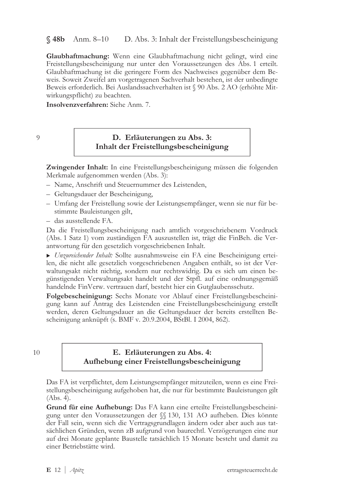$$48b$  Anm.  $8-10$ D. Abs. 3: Inhalt der Freistellungsbescheinigung

Glaubhaftmachung: Wenn eine Glaubhaftmachung nicht gelingt, wird eine Freistellungsbescheinigung nur unter den Voraussetzungen des Abs. 1 erteilt. Glaubhaftmachung ist die geringere Form des Nachweises gegenüber dem Beweis. Soweit Zweifel am vorgetragenen Sachverhalt bestehen, ist der unbedingte Beweis erforderlich. Bei Auslandssachverhalten ist § 90 Abs. 2 AO (erhöhte Mitwirkungspflicht) zu beachten.

Insolvenzverfahren: Siehe Anm. 7.

 $\overline{O}$ 

## D. Erläuterungen zu Abs. 3: Inhalt der Freistellungsbescheinigung

Zwingender Inhalt: In eine Freistellungsbescheinigung müssen die folgenden Merkmale aufgenommen werden (Abs. 3):

- Name, Anschrift und Steuernummer des Leistenden,
- Geltungsdauer der Bescheinigung,
- Umfang der Freistellung sowie der Leistungsempfänger, wenn sie nur für bestimmte Bauleistungen gilt,
- das ausstellende FA.

Da die Freistellungsbescheinigung nach amtlich vorgeschriebenem Vordruck (Abs. 1 Satz 1) vom zuständigen FA auszustellen ist, trägt die FinBeh. die Verantwortung für den gesetzlich vorgeschriebenen Inhalt.

▶ Unzureichender Inhalt: Sollte ausnahmsweise ein FA eine Bescheinigung erteilen, die nicht alle gesetzlich vorgeschriebenen Angaben enthält, so ist der Verwaltungsakt nicht nichtig, sondern nur rechtswidrig. Da es sich um einen begünstigenden Verwaltungsakt handelt und der Stpfl. auf eine ordnungsgemäß handelnde FinVerw. vertrauen darf, besteht hier ein Gutglaubensschutz.

Folgebescheinigung: Sechs Monate vor Ablauf einer Freistellungsbescheinigung kann auf Antrag des Leistenden eine Freistellungsbescheinigung erstellt werden, deren Geltungsdauer an die Geltungsdauer der bereits erstellten Bescheinigung anknüpft (s. BMF v. 20.9.2004, BStBl. I 2004, 862).

 $10$ 

## E. Erläuterungen zu Abs. 4: Aufhebung einer Freistellungsbescheinigung

Das FA ist verpflichtet, dem Leistungsempfänger mitzuteilen, wenn es eine Freistellungsbescheinigung aufgehoben hat, die nur für bestimmte Bauleistungen gilt  $(Abs. 4).$ 

Grund für eine Aufhebung: Das FA kann eine erteilte Freistellungsbescheinigung unter den Voraussetzungen der  $\mathcal{N}$  130, 131 AO aufheben. Dies könnte der Fall sein, wenn sich die Vertragsgrundlagen ändern oder aber auch aus tatsächlichen Gründen, wenn zB aufgrund von baurechtl. Verzögerungen eine nur auf drei Monate geplante Baustelle tatsächlich 15 Monate besteht und damit zu einer Betriebstätte wird.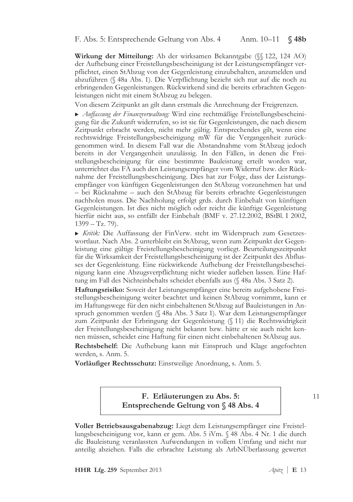F. Abs. 5: Entsprechende Geltung von Abs. 4 Anm. 10–11  $$48b$ 

Wirkung der Mitteilung: Ab der wirksamen Bekanntgabe (§§ 122, 124 AO) der Aufhebung einer Freistellungsbescheinigung ist der Leistungsempfänger verpflichtet, einen StAbzug von der Gegenleistung einzubehalten, anzumelden und abzuführen (§ 48a Abs. 1). Die Verpflichtung bezieht sich nur auf die noch zu erbringenden Gegenleistungen. Rückwirkend sind die bereits erbrachten Gegenleistungen nicht mit einem StAbzug zu belegen.

Von diesem Zeitpunkt an gilt dann erstmals die Anrechnung der Freigrenzen.

Auffassung der Finanzverwaltung: Wird eine rechtmäßige Freistellungsbescheinigung für die Zukunft widerrufen, so ist sie für Gegenleistungen, die nach diesem Zeitpunkt erbracht werden, nicht mehr gültig. Entsprechendes gilt, wenn eine rechtswidrige Freistellungsbescheinigung mW für die Vergangenheit zurückgenommen wird. In diesem Fall war die Abstandnahme vom StAbzug jedoch bereits in der Vergangenheit unzulässig. In den Fällen, in denen die Freistellungsbescheinigung für eine bestimmte Bauleistung erteilt worden war, unterrichtet das FA auch den Leistungsempfänger vom Widerruf bzw. der Rücknahme der Freistellungsbescheinigung. Dies hat zur Folge, dass der Leistungsempfänger von künftigen Gegenleistungen den StAbzug vorzunehmen hat und - bei Rücknahme - auch den StAbzug für bereits erbrachte Gegenleistungen nachholen muss. Die Nachholung erfolgt grds. durch Einbehalt von künftigen Gegenleistungen. Ist dies nicht möglich oder reicht die künftige Gegenleistung hierfür nicht aus, so entfällt der Einbehalt (BMF v. 27.12.2002, BStBl. I 2002,  $1399 - Tz$ , 79).

Kritik: Die Auffassung der FinVerw. steht im Widerspruch zum Gesetzeswortlaut. Nach Abs. 2 unterbleibt ein StAbzug, wenn zum Zeitpunkt der Gegenleistung eine gültige Freistellungsbescheinigung vorliegt. Beurteilungszeitpunkt für die Wirksamkeit der Freistellungsbescheinigung ist der Zeitpunkt des Abflusses der Gegenleistung. Eine rückwirkende Aufhebung der Freistellungsbescheinigung kann eine Abzugsverpflichtung nicht wieder aufleben lassen. Eine Haftung im Fall des Nichteinbehalts scheidet ebenfalls aus (§ 48a Abs. 3 Satz 2).

Haftungsrisiko: Soweit der Leistungsempfänger eine bereits aufgehobene Freistellungsbescheinigung weiter beachtet und keinen StAbzug vornimmt, kann er im Haftungswege für den nicht einbehaltenen StAbzug auf Bauleistungen in Anspruch genommen werden (§ 48a Abs. 3 Satz 1). War dem Leistungsempfänger zum Zeitpunkt der Erbringung der Gegenleistung (§ 11) die Rechtswidrigkeit der Freistellungsbescheinigung nicht bekannt bzw. hätte er sie auch nicht kennen müssen, scheidet eine Haftung für einen nicht einbehaltenen StAbzug aus.

Rechtsbehelf: Die Aufhebung kann mit Einspruch und Klage angefochten werden, s. Anm. 5.

Vorläufiger Rechtsschutz: Einstweilige Anordnung, s. Anm. 5.

F. Erläuterungen zu Abs. 5: Entsprechende Geltung von § 48 Abs. 4  $11$ 

Voller Betriebsausgabenabzug: Liegt dem Leistungsempfänger eine Freistellungsbescheinigung vor, kann er gem. Abs. 5 iVm. § 48 Abs. 4 Nr. 1 die durch die Bauleistung veranlassten Aufwendungen in vollem Umfang und nicht nur anteilig abziehen. Falls die erbrachte Leistung als ArbNÜberlassung gewertet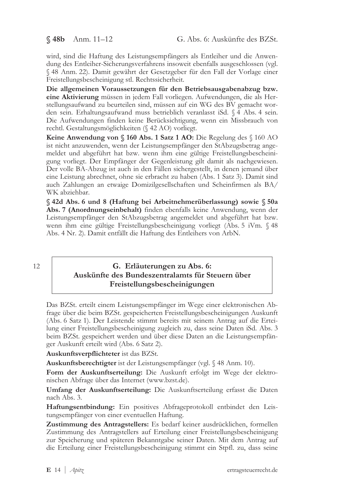### $$48b$  Anm. 11-12

wird, sind die Haftung des Leistungsempfängers als Entleiher und die Anwendung des Entleiher-Sicherungsverfahrens insoweit ebenfalls ausgeschlossen (vgl. § 48 Anm. 22). Damit gewährt der Gesetzgeber für den Fall der Vorlage einer Freistellungsbescheinigung stl. Rechtssicherheit.

Die allgemeinen Voraussetzungen für den Betriebsausgabenabzug bzw. eine Aktivierung müssen in jedem Fall vorliegen. Aufwendungen, die als Herstellungsaufwand zu beurteilen sind, müssen auf ein WG des BV gemacht worden sein. Erhaltungsaufwand muss betrieblich veranlasst iSd. § 4 Abs. 4 sein. Die Aufwendungen finden keine Berücksichtigung, wenn ein Missbrauch von rechtl. Gestaltungsmöglichkeiten (§ 42 AO) vorliegt.

Keine Anwendung von § 160 Abs. 1 Satz 1 AO: Die Regelung des § 160 AO ist nicht anzuwenden, wenn der Leistungsempfänger den StAbzugsbetrag angemeldet und abgeführt hat bzw. wenn ihm eine gültige Freistellungsbescheinigung vorliegt. Der Empfänger der Gegenleistung gilt damit als nachgewiesen. Der volle BA-Abzug ist auch in den Fällen sichergestellt, in denen jemand über eine Leistung abrechnet, ohne sie erbracht zu haben (Abs. 1 Satz 3). Damit sind auch Zahlungen an etwaige Domizilgesellschaften und Scheinfirmen als BA/ WK abziehbar.

§ 42d Abs. 6 und 8 (Haftung bei Arbeitnehmerüberlassung) sowie § 50a Abs. 7 (Anordnungseinbehalt) finden ebenfalls keine Anwendung, wenn der Leistungsempfänger den StAbzugsbetrag angemeldet und abgeführt hat bzw. wenn ihm eine gültige Freistellungsbescheinigung vorliegt (Abs. 5 iVm. § 48 Abs. 4 Nr. 2). Damit entfällt die Haftung des Entleihers von ArbN.

 $12.$ 

### G. Erläuterungen zu Abs. 6: Auskünfte des Bundeszentralamts für Steuern über Freistellungsbescheinigungen

Das BZSt. erteilt einem Leistungsempfänger im Wege einer elektronischen Abfrage über die beim BZSt. gespeicherten Freistellungsbescheinigungen Auskunft (Abs. 6 Satz 1). Der Leistende stimmt bereits mit seinem Antrag auf die Erteilung einer Freistellungsbescheinigung zugleich zu, dass seine Daten iSd. Abs. 3 beim BZSt. gespeichert werden und über diese Daten an die Leistungsempfänger Auskunft erteilt wird (Abs. 6 Satz 2).

Auskunftsverpflichteter ist das BZSt.

Auskunftsberechtigter ist der Leistungsempfänger (vgl. § 48 Anm. 10).

Form der Auskunftserteilung: Die Auskunft erfolgt im Wege der elektronischen Abfrage über das Internet (www.bzst.de).

Umfang der Auskunftserteilung: Die Auskunftserteilung erfasst die Daten nach Abs. 3.

Haftungsentbindung: Ein positives Abfrageprotokoll entbindet den Leistungsempfänger von einer eventuellen Haftung.

Zustimmung des Antragstellers: Es bedarf keiner ausdrücklichen, formellen Zustimmung des Antragstellers auf Erteilung einer Freistellungsbescheinigung zur Speicherung und späteren Bekanntgabe seiner Daten. Mit dem Antrag auf die Erteilung einer Freistellungsbescheinigung stimmt ein Stpfl. zu, dass seine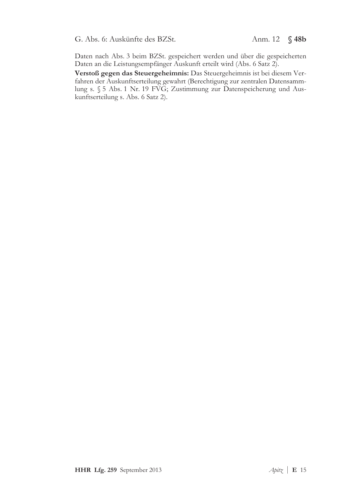G. Abs. 6: Auskünfte des BZSt. Anm. 12 § 48b

Daten nach Abs. 3 beim BZSt. gespeichert werden und über die gespeicherten Daten an die Leistungsempfänger Auskunft erteilt wird (Abs. 6 Satz 2).

Verstoß gegen das Steuergeheimnis: Das Steuergeheimnis ist bei diesem Verfahren der Auskunftserteilung gewahrt (Berechtigung zur zentralen Datensammlung s. § 5 Abs. 1 Nr. 19 FVG; Zustimmung zur Datenspeicherung und Auskunftserteilung s. Abs. 6 Satz 2).